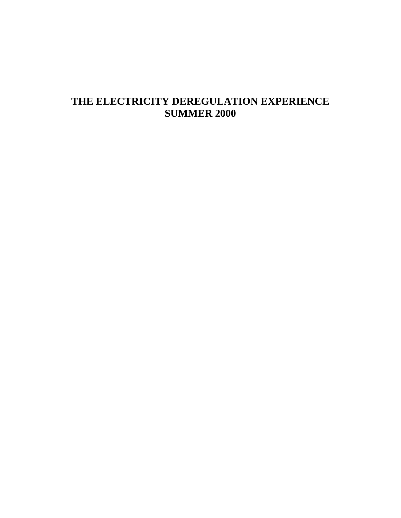# **THE ELECTRICITY DEREGULATION EXPERIENCE SUMMER 2000**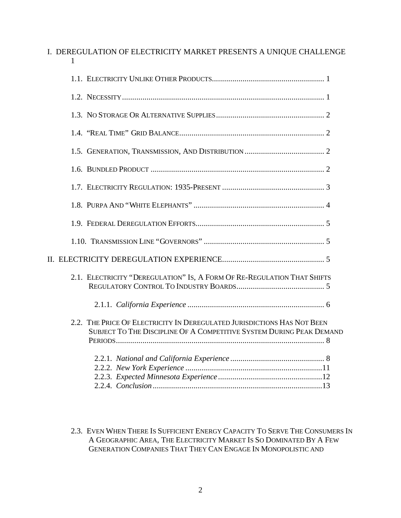| I. DEREGULATION OF ELECTRICITY MARKET PRESENTS A UNIQUE CHALLENGE<br>1                                                                          |
|-------------------------------------------------------------------------------------------------------------------------------------------------|
|                                                                                                                                                 |
|                                                                                                                                                 |
|                                                                                                                                                 |
|                                                                                                                                                 |
|                                                                                                                                                 |
|                                                                                                                                                 |
|                                                                                                                                                 |
|                                                                                                                                                 |
|                                                                                                                                                 |
|                                                                                                                                                 |
|                                                                                                                                                 |
| 2.1. ELECTRICITY "DEREGULATION" IS, A FORM OF RE-REGULATION THAT SHIFTS                                                                         |
|                                                                                                                                                 |
| 2.2. THE PRICE OF ELECTRICITY IN DEREGULATED JURISDICTIONS HAS NOT BEEN<br>SUBJECT TO THE DISCIPLINE OF A COMPETITIVE SYSTEM DURING PEAK DEMAND |
|                                                                                                                                                 |

2.3. EVEN WHEN THERE IS SUFFICIENT ENERGY CAPACITY TO SERVE THE CONSUMERS IN A GEOGRAPHIC AREA, THE ELECTRICITY MARKET IS SO DOMINATED BY A FEW GENERATION COMPANIES THAT THEY CAN ENGAGE IN MONOPOLISTIC AND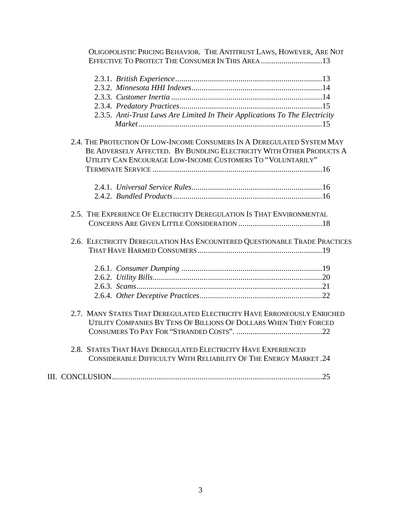| OLIGOPOLISTIC PRICING BEHAVIOR. THE ANTITRUST LAWS, HOWEVER, ARE NOT        |  |
|-----------------------------------------------------------------------------|--|
| EFFECTIVE TO PROTECT THE CONSUMER IN THIS AREA 13                           |  |
|                                                                             |  |
|                                                                             |  |
|                                                                             |  |
|                                                                             |  |
| 2.3.5. Anti-Trust Laws Are Limited In Their Applications To The Electricity |  |
|                                                                             |  |
| 2.4. THE PROTECTION OF LOW-INCOME CONSUMERS IN A DEREGULATED SYSTEM MAY     |  |
| BE ADVERSELY AFFECTED. BY BUNDLING ELECTRICITY WITH OTHER PRODUCTS A        |  |
| UTILITY CAN ENCOURAGE LOW-INCOME CUSTOMERS TO "VOLUNTARILY"                 |  |
|                                                                             |  |
|                                                                             |  |
|                                                                             |  |
| 2.5. THE EXPERIENCE OF ELECTRICITY DEREGULATION IS THAT ENVIRONMENTAL       |  |
| 2.6. ELECTRICITY DEREGULATION HAS ENCOUNTERED QUESTIONABLE TRADE PRACTICES  |  |
|                                                                             |  |
|                                                                             |  |
|                                                                             |  |
|                                                                             |  |
|                                                                             |  |
| 2.7. MANY STATES THAT DEREGULATED ELECTRICITY HAVE ERRONEOUSLY ENRICHED     |  |
| UTILITY COMPANIES BY TENS OF BILLIONS OF DOLLARS WHEN THEY FORCED           |  |
|                                                                             |  |
| 2.8. STATES THAT HAVE DEREGULATED ELECTRICITY HAVE EXPERIENCED              |  |
| CONSIDERABLE DIFFICULTY WITH RELIABILITY OF THE ENERGY MARKET.24            |  |
|                                                                             |  |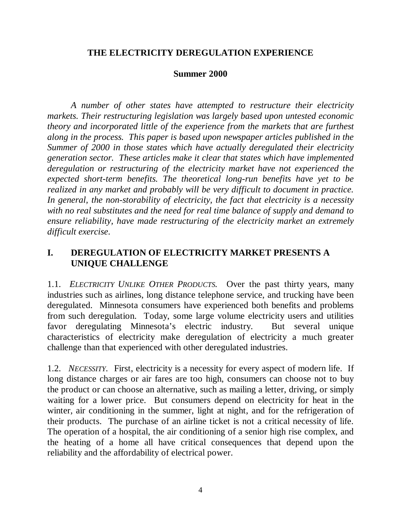# **THE ELECTRICITY DEREGULATION EXPERIENCE**

#### **Summer 2000**

*A number of other states have attempted to restructure their electricity markets. Their restructuring legislation was largely based upon untested economic theory and incorporated little of the experience from the markets that are furthest along in the process. This paper is based upon newspaper articles published in the Summer of 2000 in those states which have actually deregulated their electricity generation sector. These articles make it clear that states which have implemented deregulation or restructuring of the electricity market have not experienced the expected short-term benefits. The theoretical long-run benefits have yet to be realized in any market and probably will be very difficult to document in practice. In general, the non-storability of electricity, the fact that electricity is a necessity with no real substitutes and the need for real time balance of supply and demand to ensure reliability, have made restructuring of the electricity market an extremely difficult exercise*.

# **I. DEREGULATION OF ELECTRICITY MARKET PRESENTS A UNIQUE CHALLENGE**

1.1. *ELECTRICITY UNLIKE OTHER PRODUCTS.* Over the past thirty years, many industries such as airlines, long distance telephone service, and trucking have been deregulated. Minnesota consumers have experienced both benefits and problems from such deregulation. Today, some large volume electricity users and utilities favor deregulating Minnesota's electric industry. But several unique characteristics of electricity make deregulation of electricity a much greater challenge than that experienced with other deregulated industries.

1.2. *NECESSITY*. First, electricity is a necessity for every aspect of modern life. If long distance charges or air fares are too high, consumers can choose not to buy the product or can choose an alternative, such as mailing a letter, driving, or simply waiting for a lower price. But consumers depend on electricity for heat in the winter, air conditioning in the summer, light at night, and for the refrigeration of their products. The purchase of an airline ticket is not a critical necessity of life. The operation of a hospital, the air conditioning of a senior high rise complex, and the heating of a home all have critical consequences that depend upon the reliability and the affordability of electrical power.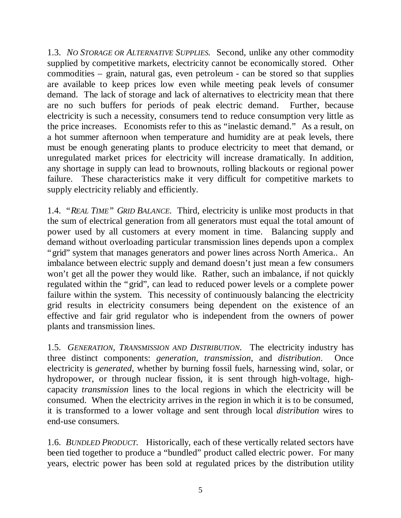1.3. *NO STORAGE OR ALTERNATIVE SUPPLIES.* Second, unlike any other commodity supplied by competitive markets, electricity cannot be economically stored. Other commodities – grain, natural gas, even petroleum - can be stored so that supplies are available to keep prices low even while meeting peak levels of consumer demand. The lack of storage and lack of alternatives to electricity mean that there are no such buffers for periods of peak electric demand. Further, because electricity is such a necessity, consumers tend to reduce consumption very little as the price increases. Economists refer to this as "inelastic demand." As a result, on a hot summer afternoon when temperature and humidity are at peak levels, there must be enough generating plants to produce electricity to meet that demand, or unregulated market prices for electricity will increase dramatically. In addition, any shortage in supply can lead to brownouts, rolling blackouts or regional power failure. These characteristics make it very difficult for competitive markets to supply electricity reliably and efficiently.

1.4. *"REAL TIME" GRID BALANCE.* Third*,* electricity is unlike most products in that the sum of electrical generation from all generators must equal the total amount of power used by all customers at every moment in time. Balancing supply and demand without overloading particular transmission lines depends upon a complex "grid" system that manages generators and power lines across North America.. An imbalance between electric supply and demand doesn't just mean a few consumers won't get all the power they would like. Rather, such an imbalance, if not quickly regulated within the "grid", can lead to reduced power levels or a complete power failure within the system. This necessity of continuously balancing the electricity grid results in electricity consumers being dependent on the existence of an effective and fair grid regulator who is independent from the owners of power plants and transmission lines.

1.5. *GENERATION, TRANSMISSION AND DISTRIBUTION*. The electricity industry has three distinct components: *generation, transmission*, and *distribution*. Once electricity is *generated*, whether by burning fossil fuels, harnessing wind, solar, or hydropower, or through nuclear fission, it is sent through high-voltage, highcapacity *transmission* lines to the local regions in which the electricity will be consumed. When the electricity arrives in the region in which it is to be consumed, it is transformed to a lower voltage and sent through local *distribution* wires to end-use consumers*.*

1.6. *BUNDLED PRODUCT.* Historically, each of these vertically related sectors have been tied together to produce a "bundled" product called electric power. For many years, electric power has been sold at regulated prices by the distribution utility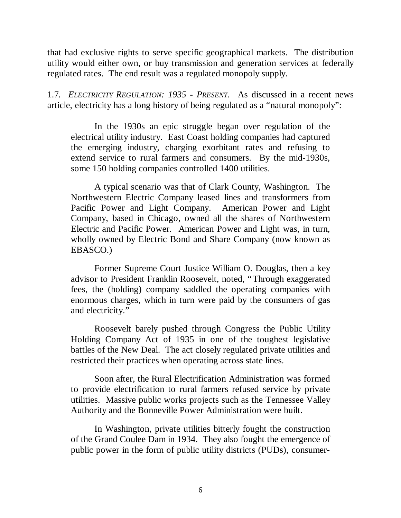that had exclusive rights to serve specific geographical markets. The distribution utility would either own, or buy transmission and generation services at federally regulated rates. The end result was a regulated monopoly supply.

1.7*. ELECTRICITY REGULATION: 1935 - PRESENT.* As discussed in a recent news article, electricity has a long history of being regulated as a "natural monopoly":

In the 1930s an epic struggle began over regulation of the electrical utility industry. East Coast holding companies had captured the emerging industry, charging exorbitant rates and refusing to extend service to rural farmers and consumers. By the mid-1930s, some 150 holding companies controlled 1400 utilities.

A typical scenario was that of Clark County, Washington. The Northwestern Electric Company leased lines and transformers from Pacific Power and Light Company. American Power and Light Company, based in Chicago, owned all the shares of Northwestern Electric and Pacific Power. American Power and Light was, in turn, wholly owned by Electric Bond and Share Company (now known as EBASCO.)

Former Supreme Court Justice William O. Douglas, then a key advisor to President Franklin Roosevelt, noted, "Through exaggerated fees, the (holding) company saddled the operating companies with enormous charges, which in turn were paid by the consumers of gas and electricity."

Roosevelt barely pushed through Congress the Public Utility Holding Company Act of 1935 in one of the toughest legislative battles of the New Deal. The act closely regulated private utilities and restricted their practices when operating across state lines.

Soon after, the Rural Electrification Administration was formed to provide electrification to rural farmers refused service by private utilities. Massive public works projects such as the Tennessee Valley Authority and the Bonneville Power Administration were built.

In Washington, private utilities bitterly fought the construction of the Grand Coulee Dam in 1934. They also fought the emergence of public power in the form of public utility districts (PUDs), consumer-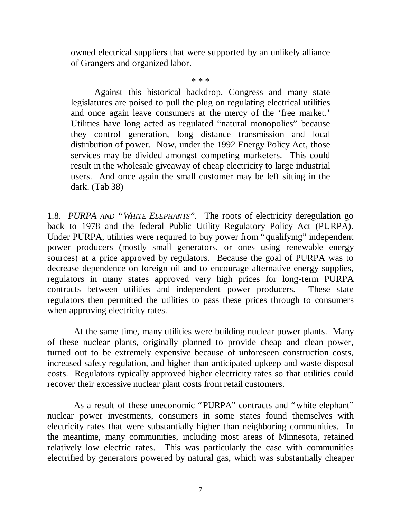owned electrical suppliers that were supported by an unlikely alliance of Grangers and organized labor.

\* \* \*

Against this historical backdrop, Congress and many state legislatures are poised to pull the plug on regulating electrical utilities and once again leave consumers at the mercy of the 'free market.' Utilities have long acted as regulated "natural monopolies" because they control generation, long distance transmission and local distribution of power. Now, under the 1992 Energy Policy Act, those services may be divided amongst competing marketers. This could result in the wholesale giveaway of cheap electricity to large industrial users. And once again the small customer may be left sitting in the dark. (Tab 38)

1.8. *PURPA AND "WHITE ELEPHANTS".* The roots of electricity deregulation go back to 1978 and the federal Public Utility Regulatory Policy Act (PURPA). Under PURPA, utilities were required to buy power from "qualifying" independent power producers (mostly small generators, or ones using renewable energy sources) at a price approved by regulators. Because the goal of PURPA was to decrease dependence on foreign oil and to encourage alternative energy supplies, regulators in many states approved very high prices for long-term PURPA contracts between utilities and independent power producers. These state regulators then permitted the utilities to pass these prices through to consumers when approving electricity rates.

At the same time, many utilities were building nuclear power plants. Many of these nuclear plants, originally planned to provide cheap and clean power, turned out to be extremely expensive because of unforeseen construction costs, increased safety regulation, and higher than anticipated upkeep and waste disposal costs. Regulators typically approved higher electricity rates so that utilities could recover their excessive nuclear plant costs from retail customers.

As a result of these uneconomic "PURPA" contracts and "white elephant" nuclear power investments, consumers in some states found themselves with electricity rates that were substantially higher than neighboring communities. In the meantime, many communities, including most areas of Minnesota, retained relatively low electric rates. This was particularly the case with communities electrified by generators powered by natural gas, which was substantially cheaper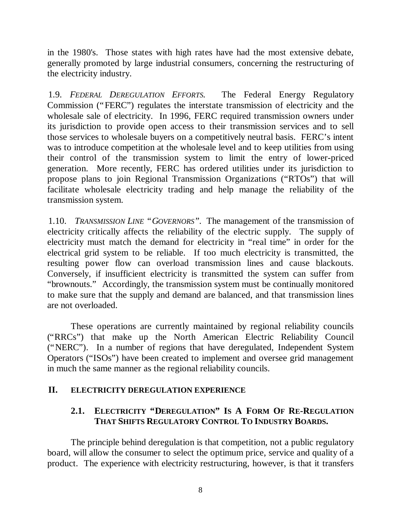in the 1980's. Those states with high rates have had the most extensive debate, generally promoted by large industrial consumers, concerning the restructuring of the electricity industry.

1.9. *FEDERAL DEREGULATION EFFORTS.* The Federal Energy Regulatory Commission ("FERC") regulates the interstate transmission of electricity and the wholesale sale of electricity. In 1996, FERC required transmission owners under its jurisdiction to provide open access to their transmission services and to sell those services to wholesale buyers on a competitively neutral basis. FERC's intent was to introduce competition at the wholesale level and to keep utilities from using their control of the transmission system to limit the entry of lower-priced generation. More recently, FERC has ordered utilities under its jurisdiction to propose plans to join Regional Transmission Organizations ("RTOs") that will facilitate wholesale electricity trading and help manage the reliability of the transmission system.

1.10. *TRANSMISSION LINE "GOVERNORS".* The management of the transmission of electricity critically affects the reliability of the electric supply. The supply of electricity must match the demand for electricity in "real time" in order for the electrical grid system to be reliable. If too much electricity is transmitted, the resulting power flow can overload transmission lines and cause blackouts. Conversely, if insufficient electricity is transmitted the system can suffer from "brownouts." Accordingly, the transmission system must be continually monitored to make sure that the supply and demand are balanced, and that transmission lines are not overloaded.

These operations are currently maintained by regional reliability councils ("RRCs") that make up the North American Electric Reliability Council ("NERC"). In a number of regions that have deregulated, Independent System Operators ("ISOs") have been created to implement and oversee grid management in much the same manner as the regional reliability councils.

### **II. ELECTRICITY DEREGULATION EXPERIENCE**

# **2.1. ELECTRICITY "DEREGULATION" IS A FORM OF RE-REGULATION THAT SHIFTS REGULATORY CONTROL TO INDUSTRY BOARDS.**

The principle behind deregulation is that competition, not a public regulatory board, will allow the consumer to select the optimum price, service and quality of a product. The experience with electricity restructuring, however, is that it transfers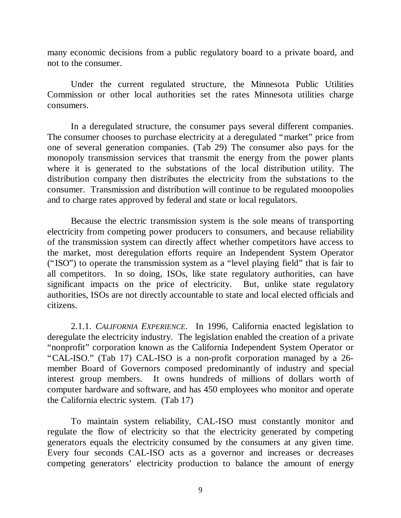many economic decisions from a public regulatory board to a private board, and not to the consumer.

Under the current regulated structure, the Minnesota Public Utilities Commission or other local authorities set the rates Minnesota utilities charge consumers.

In a deregulated structure, the consumer pays several different companies. The consumer chooses to purchase electricity at a deregulated "market" price from one of several generation companies. (Tab 29) The consumer also pays for the monopoly transmission services that transmit the energy from the power plants where it is generated to the substations of the local distribution utility. The distribution company then distributes the electricity from the substations to the consumer. Transmission and distribution will continue to be regulated monopolies and to charge rates approved by federal and state or local regulators.

Because the electric transmission system is the sole means of transporting electricity from competing power producers to consumers, and because reliability of the transmission system can directly affect whether competitors have access to the market, most deregulation efforts require an Independent System Operator ("ISO") to operate the transmission system as a "level playing field" that is fair to all competitors. In so doing, ISOs, like state regulatory authorities, can have significant impacts on the price of electricity. But, unlike state regulatory authorities, ISOs are not directly accountable to state and local elected officials and citizens.

2.1.1. *CALIFORNIA EXPERIENCE*. In 1996, California enacted legislation to deregulate the electricity industry. The legislation enabled the creation of a private "nonprofit" corporation known as the California Independent System Operator or "CAL-ISO." (Tab 17) CAL-ISO is a non-profit corporation managed by a 26 member Board of Governors composed predominantly of industry and special interest group members. It owns hundreds of millions of dollars worth of computer hardware and software, and has 450 employees who monitor and operate the California electric system. (Tab 17)

To maintain system reliability, CAL-ISO must constantly monitor and regulate the flow of electricity so that the electricity generated by competing generators equals the electricity consumed by the consumers at any given time. Every four seconds CAL-ISO acts as a governor and increases or decreases competing generators' electricity production to balance the amount of energy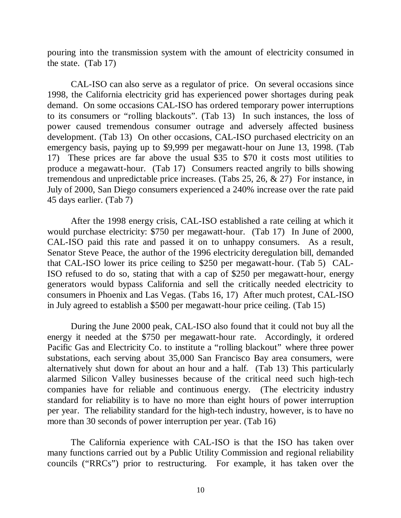pouring into the transmission system with the amount of electricity consumed in the state. (Tab 17)

CAL-ISO can also serve as a regulator of price. On several occasions since 1998, the California electricity grid has experienced power shortages during peak demand. On some occasions CAL-ISO has ordered temporary power interruptions to its consumers or "rolling blackouts". (Tab 13) In such instances, the loss of power caused tremendous consumer outrage and adversely affected business development. (Tab 13) On other occasions, CAL-ISO purchased electricity on an emergency basis, paying up to \$9,999 per megawatt-hour on June 13, 1998. (Tab 17) These prices are far above the usual \$35 to \$70 it costs most utilities to produce a megawatt-hour. (Tab 17) Consumers reacted angrily to bills showing tremendous and unpredictable price increases. (Tabs 25, 26, & 27) For instance, in July of 2000, San Diego consumers experienced a 240% increase over the rate paid 45 days earlier. (Tab 7)

After the 1998 energy crisis, CAL-ISO established a rate ceiling at which it would purchase electricity: \$750 per megawatt-hour. (Tab 17) In June of 2000, CAL-ISO paid this rate and passed it on to unhappy consumers. As a result, Senator Steve Peace, the author of the 1996 electricity deregulation bill, demanded that CAL-ISO lower its price ceiling to \$250 per megawatt-hour. (Tab 5) CAL-ISO refused to do so, stating that with a cap of \$250 per megawatt-hour, energy generators would bypass California and sell the critically needed electricity to consumers in Phoenix and Las Vegas. (Tabs 16, 17) After much protest, CAL-ISO in July agreed to establish a \$500 per megawatt-hour price ceiling. (Tab 15)

During the June 2000 peak, CAL-ISO also found that it could not buy all the energy it needed at the \$750 per megawatt-hour rate. Accordingly, it ordered Pacific Gas and Electricity Co. to institute a "rolling blackout" where three power substations, each serving about 35,000 San Francisco Bay area consumers, were alternatively shut down for about an hour and a half. (Tab 13) This particularly alarmed Silicon Valley businesses because of the critical need such high-tech companies have for reliable and continuous energy. (The electricity industry standard for reliability is to have no more than eight hours of power interruption per year. The reliability standard for the high-tech industry, however, is to have no more than 30 seconds of power interruption per year. (Tab 16)

The California experience with CAL-ISO is that the ISO has taken over many functions carried out by a Public Utility Commission and regional reliability councils ("RRCs") prior to restructuring. For example, it has taken over the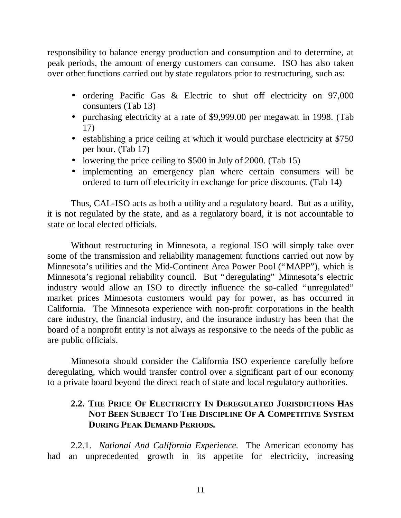responsibility to balance energy production and consumption and to determine, at peak periods, the amount of energy customers can consume. ISO has also taken over other functions carried out by state regulators prior to restructuring, such as:

- ordering Pacific Gas & Electric to shut off electricity on 97,000 consumers (Tab 13)
- purchasing electricity at a rate of \$9,999.00 per megawatt in 1998. (Tab 17)
- establishing a price ceiling at which it would purchase electricity at \$750 per hour. (Tab 17)
- lowering the price ceiling to \$500 in July of 2000. (Tab 15)
- implementing an emergency plan where certain consumers will be ordered to turn off electricity in exchange for price discounts. (Tab 14)

Thus, CAL-ISO acts as both a utility and a regulatory board. But as a utility, it is not regulated by the state, and as a regulatory board, it is not accountable to state or local elected officials.

Without restructuring in Minnesota, a regional ISO will simply take over some of the transmission and reliability management functions carried out now by Minnesota's utilities and the Mid-Continent Area Power Pool ("MAPP"), which is Minnesota's regional reliability council. But "deregulating" Minnesota's electric industry would allow an ISO to directly influence the so-called "unregulated" market prices Minnesota customers would pay for power, as has occurred in California. The Minnesota experience with non-profit corporations in the health care industry, the financial industry, and the insurance industry has been that the board of a nonprofit entity is not always as responsive to the needs of the public as are public officials.

Minnesota should consider the California ISO experience carefully before deregulating, which would transfer control over a significant part of our economy to a private board beyond the direct reach of state and local regulatory authorities.

# **2.2. THE PRICE OF ELECTRICITY IN DEREGULATED JURISDICTIONS HAS NOT BEEN SUBJECT TO THE DISCIPLINE OF A COMPETITIVE SYSTEM DURING PEAK DEMAND PERIODS.**

2.2.1. *National And California Experience.* The American economy has had an unprecedented growth in its appetite for electricity, increasing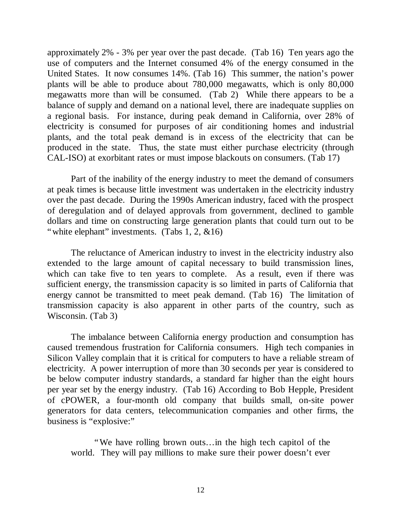approximately 2% - 3% per year over the past decade. (Tab 16) Ten years ago the use of computers and the Internet consumed 4% of the energy consumed in the United States. It now consumes 14%. (Tab 16) This summer, the nation's power plants will be able to produce about 780,000 megawatts, which is only 80,000 megawatts more than will be consumed. (Tab 2) While there appears to be a balance of supply and demand on a national level, there are inadequate supplies on a regional basis. For instance, during peak demand in California, over 28% of electricity is consumed for purposes of air conditioning homes and industrial plants, and the total peak demand is in excess of the electricity that can be produced in the state. Thus, the state must either purchase electricity (through CAL-ISO) at exorbitant rates or must impose blackouts on consumers. (Tab 17)

Part of the inability of the energy industry to meet the demand of consumers at peak times is because little investment was undertaken in the electricity industry over the past decade. During the 1990s American industry, faced with the prospect of deregulation and of delayed approvals from government, declined to gamble dollars and time on constructing large generation plants that could turn out to be "white elephant" investments. (Tabs 1, 2, &16)

The reluctance of American industry to invest in the electricity industry also extended to the large amount of capital necessary to build transmission lines, which can take five to ten years to complete. As a result, even if there was sufficient energy, the transmission capacity is so limited in parts of California that energy cannot be transmitted to meet peak demand. (Tab 16) The limitation of transmission capacity is also apparent in other parts of the country, such as Wisconsin. (Tab 3)

The imbalance between California energy production and consumption has caused tremendous frustration for California consumers. High tech companies in Silicon Valley complain that it is critical for computers to have a reliable stream of electricity. A power interruption of more than 30 seconds per year is considered to be below computer industry standards, a standard far higher than the eight hours per year set by the energy industry. (Tab 16) According to Bob Hepple, President of cPOWER, a four-month old company that builds small, on-site power generators for data centers, telecommunication companies and other firms, the business is "explosive:"

"We have rolling brown outs… in the high tech capitol of the world. They will pay millions to make sure their power doesn't ever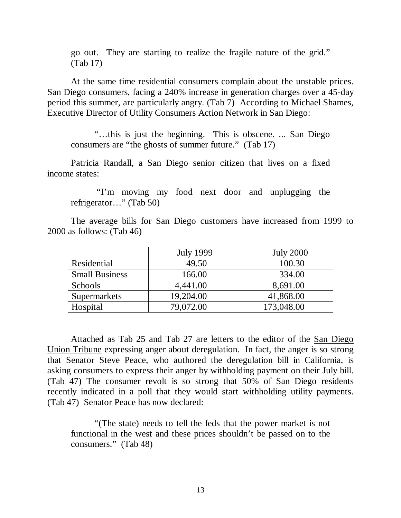go out. They are starting to realize the fragile nature of the grid." (Tab 17)

At the same time residential consumers complain about the unstable prices. San Diego consumers, facing a 240% increase in generation charges over a 45-day period this summer, are particularly angry. (Tab 7) According to Michael Shames, Executive Director of Utility Consumers Action Network in San Diego:

"… this is just the beginning. This is obscene. ... San Diego consumers are "the ghosts of summer future." (Tab 17)

Patricia Randall, a San Diego senior citizen that lives on a fixed income states:

 "I'm moving my food next door and unplugging the refrigerator…" (Tab 50)

The average bills for San Diego customers have increased from 1999 to 2000 as follows: (Tab 46)

|                       | <b>July 1999</b> | <b>July 2000</b> |
|-----------------------|------------------|------------------|
| Residential           | 49.50            | 100.30           |
| <b>Small Business</b> | 166.00           | 334.00           |
| Schools               | 4,441.00         | 8,691.00         |
| Supermarkets          | 19,204.00        | 41,868.00        |
| Hospital              | 79,072.00        | 173,048.00       |

Attached as Tab 25 and Tab 27 are letters to the editor of the San Diego Union Tribune expressing anger about deregulation. In fact, the anger is so strong that Senator Steve Peace, who authored the deregulation bill in California, is asking consumers to express their anger by withholding payment on their July bill. (Tab 47) The consumer revolt is so strong that 50% of San Diego residents recently indicated in a poll that they would start withholding utility payments. (Tab 47) Senator Peace has now declared:

"(The state) needs to tell the feds that the power market is not functional in the west and these prices shouldn't be passed on to the consumers." (Tab 48)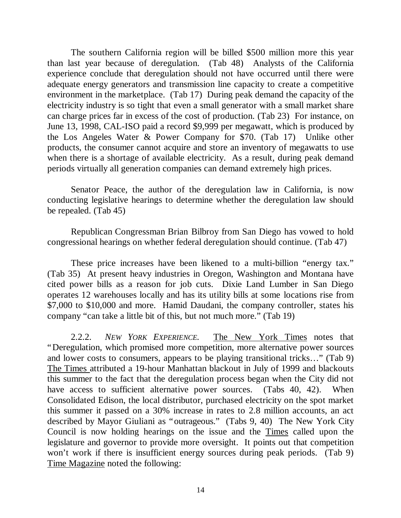The southern California region will be billed \$500 million more this year than last year because of deregulation. (Tab 48) Analysts of the California experience conclude that deregulation should not have occurred until there were adequate energy generators and transmission line capacity to create a competitive environment in the marketplace. (Tab 17) During peak demand the capacity of the electricity industry is so tight that even a small generator with a small market share can charge prices far in excess of the cost of production. (Tab 23) For instance, on June 13, 1998, CAL-ISO paid a record \$9,999 per megawatt, which is produced by the Los Angeles Water & Power Company for \$70. (Tab 17) Unlike other products, the consumer cannot acquire and store an inventory of megawatts to use when there is a shortage of available electricity. As a result, during peak demand periods virtually all generation companies can demand extremely high prices.

Senator Peace, the author of the deregulation law in California, is now conducting legislative hearings to determine whether the deregulation law should be repealed. (Tab 45)

Republican Congressman Brian Bilbroy from San Diego has vowed to hold congressional hearings on whether federal deregulation should continue. (Tab 47)

These price increases have been likened to a multi-billion "energy tax." (Tab 35) At present heavy industries in Oregon, Washington and Montana have cited power bills as a reason for job cuts. Dixie Land Lumber in San Diego operates 12 warehouses locally and has its utility bills at some locations rise from \$7,000 to \$10,000 and more. Hamid Daudani, the company controller, states his company "can take a little bit of this, but not much more." (Tab 19)

2.2.2. *NEW YORK EXPERIENCE.* The New York Times notes that "Deregulation, which promised more competition, more alternative power sources and lower costs to consumers, appears to be playing transitional tricks… " (Tab 9) The Times attributed a 19-hour Manhattan blackout in July of 1999 and blackouts this summer to the fact that the deregulation process began when the City did not have access to sufficient alternative power sources. (Tabs 40, 42). When Consolidated Edison, the local distributor, purchased electricity on the spot market this summer it passed on a 30% increase in rates to 2.8 million accounts, an act described by Mayor Giuliani as "outrageous." (Tabs 9, 40) The New York City Council is now holding hearings on the issue and the Times called upon the legislature and governor to provide more oversight. It points out that competition won't work if there is insufficient energy sources during peak periods. (Tab 9) Time Magazine noted the following: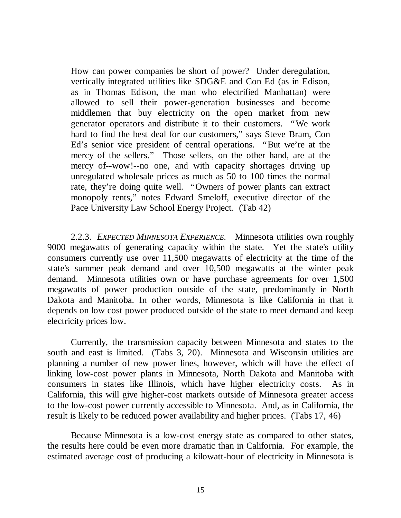How can power companies be short of power? Under deregulation, vertically integrated utilities like SDG&E and Con Ed (as in Edison, as in Thomas Edison, the man who electrified Manhattan) were allowed to sell their power-generation businesses and become middlemen that buy electricity on the open market from new generator operators and distribute it to their customers. "We work hard to find the best deal for our customers," says Steve Bram, Con Ed's senior vice president of central operations. "But we're at the mercy of the sellers." Those sellers, on the other hand, are at the mercy of--wow!--no one, and with capacity shortages driving up unregulated wholesale prices as much as 50 to 100 times the normal rate, they're doing quite well. "Owners of power plants can extract monopoly rents," notes Edward Smeloff, executive director of the Pace University Law School Energy Project. (Tab 42)

2.2.3. *EXPECTED MINNESOTA EXPERIENCE.* Minnesota utilities own roughly 9000 megawatts of generating capacity within the state. Yet the state's utility consumers currently use over 11,500 megawatts of electricity at the time of the state's summer peak demand and over 10,500 megawatts at the winter peak demand. Minnesota utilities own or have purchase agreements for over 1,500 megawatts of power production outside of the state, predominantly in North Dakota and Manitoba. In other words, Minnesota is like California in that it depends on low cost power produced outside of the state to meet demand and keep electricity prices low.

Currently, the transmission capacity between Minnesota and states to the south and east is limited. (Tabs 3, 20). Minnesota and Wisconsin utilities are planning a number of new power lines, however, which will have the effect of linking low-cost power plants in Minnesota, North Dakota and Manitoba with consumers in states like Illinois, which have higher electricity costs. As in California, this will give higher-cost markets outside of Minnesota greater access to the low-cost power currently accessible to Minnesota. And, as in California, the result is likely to be reduced power availability and higher prices. (Tabs 17, 46)

Because Minnesota is a low-cost energy state as compared to other states, the results here could be even more dramatic than in California. For example, the estimated average cost of producing a kilowatt-hour of electricity in Minnesota is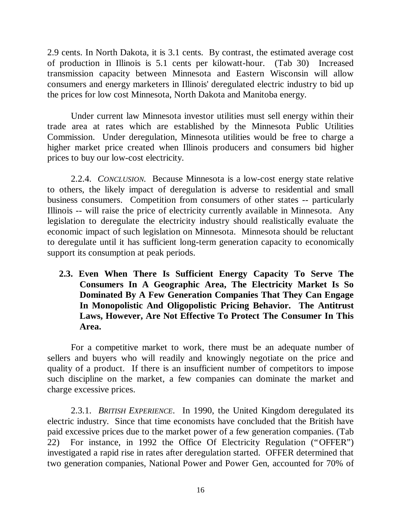2.9 cents. In North Dakota, it is 3.1 cents. By contrast, the estimated average cost of production in Illinois is 5.1 cents per kilowatt-hour. (Tab 30) Increased transmission capacity between Minnesota and Eastern Wisconsin will allow consumers and energy marketers in Illinois' deregulated electric industry to bid up the prices for low cost Minnesota, North Dakota and Manitoba energy.

Under current law Minnesota investor utilities must sell energy within their trade area at rates which are established by the Minnesota Public Utilities Commission. Under deregulation, Minnesota utilities would be free to charge a higher market price created when Illinois producers and consumers bid higher prices to buy our low-cost electricity.

2.2.4. *CONCLUSION.* Because Minnesota is a low-cost energy state relative to others, the likely impact of deregulation is adverse to residential and small business consumers. Competition from consumers of other states -- particularly Illinois -- will raise the price of electricity currently available in Minnesota. Any legislation to deregulate the electricity industry should realistically evaluate the economic impact of such legislation on Minnesota. Minnesota should be reluctant to deregulate until it has sufficient long-term generation capacity to economically support its consumption at peak periods.

**2.3. Even When There Is Sufficient Energy Capacity To Serve The Consumers In A Geographic Area, The Electricity Market Is So Dominated By A Few Generation Companies That They Can Engage In Monopolistic And Oligopolistic Pricing Behavior. The Antitrust Laws, However, Are Not Effective To Protect The Consumer In This Area.**

For a competitive market to work, there must be an adequate number of sellers and buyers who will readily and knowingly negotiate on the price and quality of a product. If there is an insufficient number of competitors to impose such discipline on the market, a few companies can dominate the market and charge excessive prices.

2.3.1. *BRITISH EXPERIENCE*. In 1990, the United Kingdom deregulated its electric industry. Since that time economists have concluded that the British have paid excessive prices due to the market power of a few generation companies. (Tab 22) For instance, in 1992 the Office Of Electricity Regulation ("OFFER") investigated a rapid rise in rates after deregulation started. OFFER determined that two generation companies, National Power and Power Gen, accounted for 70% of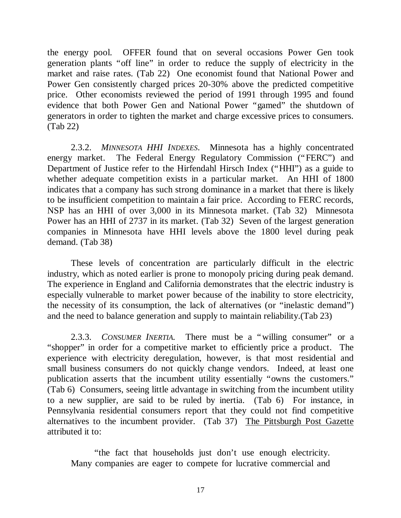the energy pool. OFFER found that on several occasions Power Gen took generation plants "off line" in order to reduce the supply of electricity in the market and raise rates. (Tab 22) One economist found that National Power and Power Gen consistently charged prices 20-30% above the predicted competitive price. Other economists reviewed the period of 1991 through 1995 and found evidence that both Power Gen and National Power "gamed" the shutdown of generators in order to tighten the market and charge excessive prices to consumers. (Tab 22)

2.3.2. *MINNESOTA HHI INDEXES*. Minnesota has a highly concentrated energy market. The Federal Energy Regulatory Commission ("FERC") and Department of Justice refer to the Hirfendahl Hirsch Index ("HHI") as a guide to whether adequate competition exists in a particular market. An HHI of 1800 indicates that a company has such strong dominance in a market that there is likely to be insufficient competition to maintain a fair price. According to FERC records, NSP has an HHI of over 3,000 in its Minnesota market. (Tab 32) Minnesota Power has an HHI of 2737 in its market. (Tab 32) Seven of the largest generation companies in Minnesota have HHI levels above the 1800 level during peak demand. (Tab 38)

These levels of concentration are particularly difficult in the electric industry, which as noted earlier is prone to monopoly pricing during peak demand. The experience in England and California demonstrates that the electric industry is especially vulnerable to market power because of the inability to store electricity, the necessity of its consumption, the lack of alternatives (or "inelastic demand") and the need to balance generation and supply to maintain reliability.(Tab 23)

2.3.3. *CONSUMER INERTIA.* There must be a "willing consumer" or a "shopper" in order for a competitive market to efficiently price a product. The experience with electricity deregulation, however, is that most residential and small business consumers do not quickly change vendors. Indeed, at least one publication asserts that the incumbent utility essentially "owns the customers." (Tab 6) Consumers, seeing little advantage in switching from the incumbent utility to a new supplier, are said to be ruled by inertia. (Tab 6) For instance, in Pennsylvania residential consumers report that they could not find competitive alternatives to the incumbent provider. (Tab 37) The Pittsburgh Post Gazette attributed it to:

"the fact that households just don't use enough electricity. Many companies are eager to compete for lucrative commercial and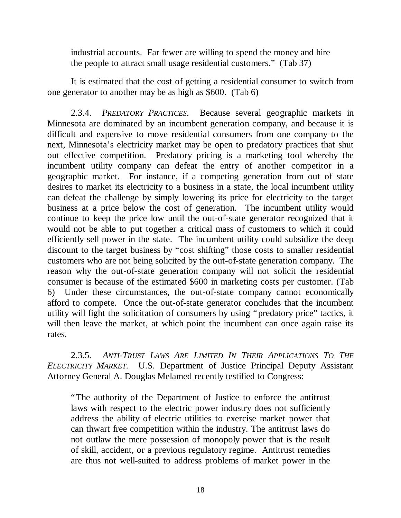industrial accounts. Far fewer are willing to spend the money and hire the people to attract small usage residential customers." (Tab 37)

It is estimated that the cost of getting a residential consumer to switch from one generator to another may be as high as \$600. (Tab 6)

2.3.4. *PREDATORY PRACTICES*. Because several geographic markets in Minnesota are dominated by an incumbent generation company, and because it is difficult and expensive to move residential consumers from one company to the next, Minnesota's electricity market may be open to predatory practices that shut out effective competition. Predatory pricing is a marketing tool whereby the incumbent utility company can defeat the entry of another competitor in a geographic market. For instance, if a competing generation from out of state desires to market its electricity to a business in a state, the local incumbent utility can defeat the challenge by simply lowering its price for electricity to the target business at a price below the cost of generation. The incumbent utility would continue to keep the price low until the out-of-state generator recognized that it would not be able to put together a critical mass of customers to which it could efficiently sell power in the state. The incumbent utility could subsidize the deep discount to the target business by "cost shifting" those costs to smaller residential customers who are not being solicited by the out-of-state generation company. The reason why the out-of-state generation company will not solicit the residential consumer is because of the estimated \$600 in marketing costs per customer. (Tab 6) Under these circumstances, the out-of-state company cannot economically afford to compete. Once the out-of-state generator concludes that the incumbent utility will fight the solicitation of consumers by using "predatory price" tactics, it will then leave the market, at which point the incumbent can once again raise its rates.

2.3.5. *ANTI-TRUST LAWS ARE LIMITED IN THEIR APPLICATIONS TO THE ELECTRICITY MARKET.* U.S. Department of Justice Principal Deputy Assistant Attorney General A. Douglas Melamed recently testified to Congress:

"The authority of the Department of Justice to enforce the antitrust laws with respect to the electric power industry does not sufficiently address the ability of electric utilities to exercise market power that can thwart free competition within the industry. The antitrust laws do not outlaw the mere possession of monopoly power that is the result of skill, accident, or a previous regulatory regime. Antitrust remedies are thus not well-suited to address problems of market power in the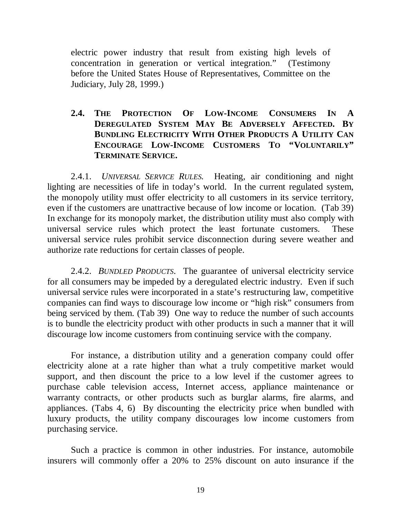electric power industry that result from existing high levels of concentration in generation or vertical integration." (Testimony before the United States House of Representatives, Committee on the Judiciary, July 28, 1999.)

## **2.4. THE PROTECTION OF LOW-INCOME CONSUMERS IN A DEREGULATED SYSTEM MAY BE ADVERSELY AFFECTED. BY BUNDLING ELECTRICITY WITH OTHER PRODUCTS A UTILITY CAN ENCOURAGE LOW-INCOME CUSTOMERS TO "VOLUNTARILY" TERMINATE SERVICE.**

2.4.1. *UNIVERSAL SERVICE RULES.* Heating, air conditioning and night lighting are necessities of life in today's world. In the current regulated system, the monopoly utility must offer electricity to all customers in its service territory, even if the customers are unattractive because of low income or location. (Tab 39) In exchange for its monopoly market, the distribution utility must also comply with universal service rules which protect the least fortunate customers. These universal service rules prohibit service disconnection during severe weather and authorize rate reductions for certain classes of people.

2.4.2. *BUNDLED PRODUCTS*. The guarantee of universal electricity service for all consumers may be impeded by a deregulated electric industry. Even if such universal service rules were incorporated in a state's restructuring law, competitive companies can find ways to discourage low income or "high risk" consumers from being serviced by them. (Tab 39) One way to reduce the number of such accounts is to bundle the electricity product with other products in such a manner that it will discourage low income customers from continuing service with the company.

For instance, a distribution utility and a generation company could offer electricity alone at a rate higher than what a truly competitive market would support, and then discount the price to a low level if the customer agrees to purchase cable television access, Internet access, appliance maintenance or warranty contracts, or other products such as burglar alarms, fire alarms, and appliances. (Tabs 4, 6) By discounting the electricity price when bundled with luxury products, the utility company discourages low income customers from purchasing service.

Such a practice is common in other industries. For instance, automobile insurers will commonly offer a 20% to 25% discount on auto insurance if the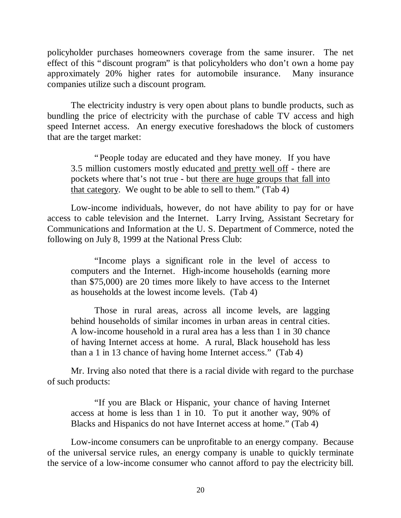policyholder purchases homeowners coverage from the same insurer. The net effect of this "discount program" is that policyholders who don't own a home pay approximately 20% higher rates for automobile insurance. Many insurance companies utilize such a discount program.

The electricity industry is very open about plans to bundle products, such as bundling the price of electricity with the purchase of cable TV access and high speed Internet access. An energy executive foreshadows the block of customers that are the target market:

"People today are educated and they have money. If you have 3.5 million customers mostly educated and pretty well off - there are pockets where that's not true - but there are huge groups that fall into that category. We ought to be able to sell to them." (Tab 4)

Low-income individuals, however, do not have ability to pay for or have access to cable television and the Internet. Larry Irving, Assistant Secretary for Communications and Information at the U. S. Department of Commerce, noted the following on July 8, 1999 at the National Press Club:

"Income plays a significant role in the level of access to computers and the Internet. High-income households (earning more than \$75,000) are 20 times more likely to have access to the Internet as households at the lowest income levels. (Tab 4)

Those in rural areas, across all income levels, are lagging behind households of similar incomes in urban areas in central cities. A low-income household in a rural area has a less than 1 in 30 chance of having Internet access at home. A rural, Black household has less than a 1 in 13 chance of having home Internet access." (Tab 4)

Mr. Irving also noted that there is a racial divide with regard to the purchase of such products:

"If you are Black or Hispanic, your chance of having Internet access at home is less than 1 in 10. To put it another way, 90% of Blacks and Hispanics do not have Internet access at home." (Tab 4)

Low-income consumers can be unprofitable to an energy company. Because of the universal service rules, an energy company is unable to quickly terminate the service of a low-income consumer who cannot afford to pay the electricity bill.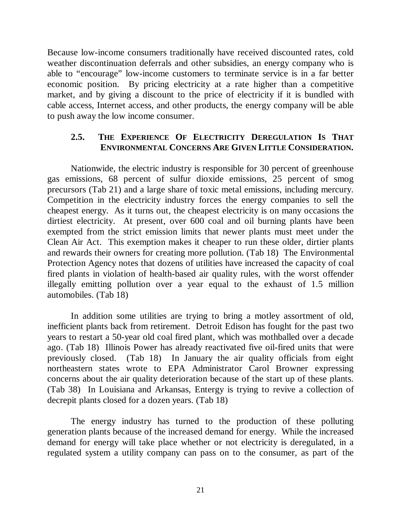Because low-income consumers traditionally have received discounted rates, cold weather discontinuation deferrals and other subsidies, an energy company who is able to "encourage" low-income customers to terminate service is in a far better economic position. By pricing electricity at a rate higher than a competitive market, and by giving a discount to the price of electricity if it is bundled with cable access, Internet access, and other products, the energy company will be able to push away the low income consumer.

# **2.5. THE EXPERIENCE OF ELECTRICITY DEREGULATION IS THAT ENVIRONMENTAL CONCERNS ARE GIVEN LITTLE CONSIDERATION.**

Nationwide, the electric industry is responsible for 30 percent of greenhouse gas emissions, 68 percent of sulfur dioxide emissions, 25 percent of smog precursors (Tab 21) and a large share of toxic metal emissions, including mercury. Competition in the electricity industry forces the energy companies to sell the cheapest energy. As it turns out, the cheapest electricity is on many occasions the dirtiest electricity. At present, over 600 coal and oil burning plants have been exempted from the strict emission limits that newer plants must meet under the Clean Air Act. This exemption makes it cheaper to run these older, dirtier plants and rewards their owners for creating more pollution. (Tab 18) The Environmental Protection Agency notes that dozens of utilities have increased the capacity of coal fired plants in violation of health-based air quality rules, with the worst offender illegally emitting pollution over a year equal to the exhaust of 1.5 million automobiles. (Tab 18)

In addition some utilities are trying to bring a motley assortment of old, inefficient plants back from retirement. Detroit Edison has fought for the past two years to restart a 50-year old coal fired plant, which was mothballed over a decade ago. (Tab 18) Illinois Power has already reactivated five oil-fired units that were previously closed. (Tab 18) In January the air quality officials from eight northeastern states wrote to EPA Administrator Carol Browner expressing concerns about the air quality deterioration because of the start up of these plants. (Tab 38) In Louisiana and Arkansas, Entergy is trying to revive a collection of decrepit plants closed for a dozen years. (Tab 18)

The energy industry has turned to the production of these polluting generation plants because of the increased demand for energy. While the increased demand for energy will take place whether or not electricity is deregulated, in a regulated system a utility company can pass on to the consumer, as part of the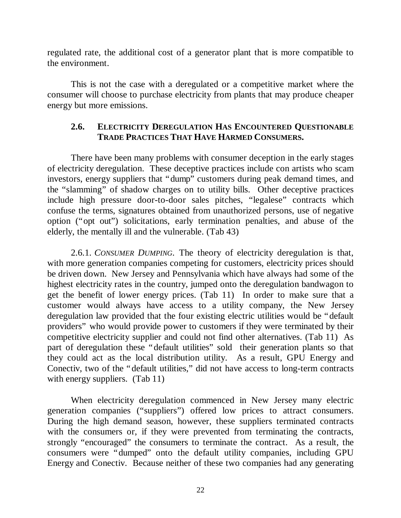regulated rate, the additional cost of a generator plant that is more compatible to the environment.

This is not the case with a deregulated or a competitive market where the consumer will choose to purchase electricity from plants that may produce cheaper energy but more emissions.

#### **2.6. ELECTRICITY DEREGULATION HAS ENCOUNTERED QUESTIONABLE TRADE PRACTICES THAT HAVE HARMED CONSUMERS.**

There have been many problems with consumer deception in the early stages of electricity deregulation. These deceptive practices include con artists who scam investors, energy suppliers that "dump" customers during peak demand times, and the "slamming" of shadow charges on to utility bills. Other deceptive practices include high pressure door-to-door sales pitches, "legalese" contracts which confuse the terms, signatures obtained from unauthorized persons, use of negative option ("opt out") solicitations, early termination penalties, and abuse of the elderly, the mentally ill and the vulnerable. (Tab 43)

2.6.1. *CONSUMER DUMPING*. The theory of electricity deregulation is that, with more generation companies competing for customers, electricity prices should be driven down. New Jersey and Pennsylvania which have always had some of the highest electricity rates in the country, jumped onto the deregulation bandwagon to get the benefit of lower energy prices. (Tab 11) In order to make sure that a customer would always have access to a utility company, the New Jersey deregulation law provided that the four existing electric utilities would be "default providers" who would provide power to customers if they were terminated by their competitive electricity supplier and could not find other alternatives. (Tab 11) As part of deregulation these "default utilities" sold their generation plants so that they could act as the local distribution utility. As a result, GPU Energy and Conectiv, two of the "default utilities," did not have access to long-term contracts with energy suppliers. (Tab 11)

When electricity deregulation commenced in New Jersey many electric generation companies ("suppliers") offered low prices to attract consumers. During the high demand season, however, these suppliers terminated contracts with the consumers or, if they were prevented from terminating the contracts, strongly "encouraged" the consumers to terminate the contract. As a result, the consumers were "dumped" onto the default utility companies, including GPU Energy and Conectiv. Because neither of these two companies had any generating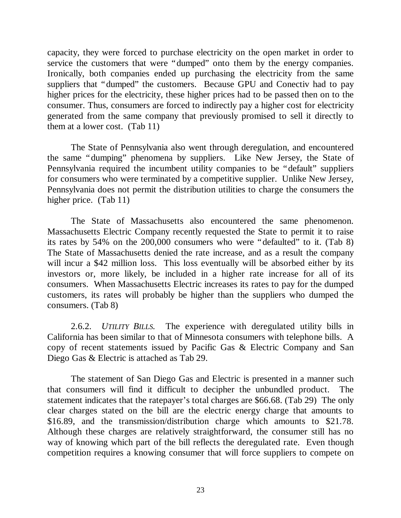capacity, they were forced to purchase electricity on the open market in order to service the customers that were "dumped" onto them by the energy companies. Ironically, both companies ended up purchasing the electricity from the same suppliers that "dumped" the customers. Because GPU and Conectiv had to pay higher prices for the electricity, these higher prices had to be passed then on to the consumer. Thus, consumers are forced to indirectly pay a higher cost for electricity generated from the same company that previously promised to sell it directly to them at a lower cost. (Tab 11)

The State of Pennsylvania also went through deregulation, and encountered the same "dumping" phenomena by suppliers. Like New Jersey, the State of Pennsylvania required the incumbent utility companies to be "default" suppliers for consumers who were terminated by a competitive supplier. Unlike New Jersey, Pennsylvania does not permit the distribution utilities to charge the consumers the higher price. (Tab 11)

The State of Massachusetts also encountered the same phenomenon. Massachusetts Electric Company recently requested the State to permit it to raise its rates by 54% on the 200,000 consumers who were "defaulted" to it. (Tab 8) The State of Massachusetts denied the rate increase, and as a result the company will incur a \$42 million loss. This loss eventually will be absorbed either by its investors or, more likely, be included in a higher rate increase for all of its consumers. When Massachusetts Electric increases its rates to pay for the dumped customers, its rates will probably be higher than the suppliers who dumped the consumers. (Tab 8)

2.6.2. *UTILITY BILLS.* The experience with deregulated utility bills in California has been similar to that of Minnesota consumers with telephone bills. A copy of recent statements issued by Pacific Gas & Electric Company and San Diego Gas & Electric is attached as Tab 29.

The statement of San Diego Gas and Electric is presented in a manner such that consumers will find it difficult to decipher the unbundled product. The statement indicates that the ratepayer's total charges are \$66.68. (Tab 29) The only clear charges stated on the bill are the electric energy charge that amounts to \$16.89, and the transmission/distribution charge which amounts to \$21.78. Although these charges are relatively straightforward, the consumer still has no way of knowing which part of the bill reflects the deregulated rate. Even though competition requires a knowing consumer that will force suppliers to compete on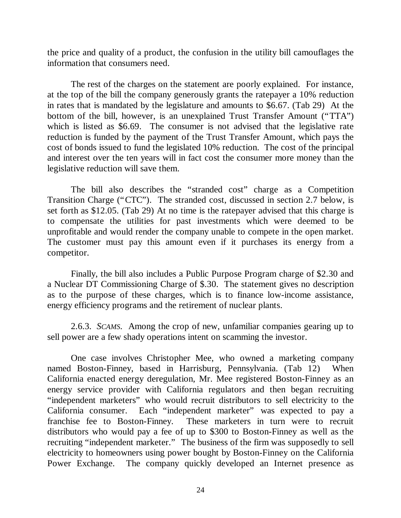the price and quality of a product, the confusion in the utility bill camouflages the information that consumers need.

The rest of the charges on the statement are poorly explained. For instance, at the top of the bill the company generously grants the ratepayer a 10% reduction in rates that is mandated by the legislature and amounts to \$6.67. (Tab 29) At the bottom of the bill, however, is an unexplained Trust Transfer Amount ("TTA") which is listed as \$6.69. The consumer is not advised that the legislative rate reduction is funded by the payment of the Trust Transfer Amount, which pays the cost of bonds issued to fund the legislated 10% reduction. The cost of the principal and interest over the ten years will in fact cost the consumer more money than the legislative reduction will save them.

The bill also describes the "stranded cost" charge as a Competition Transition Charge ("CTC"). The stranded cost, discussed in section 2.7 below, is set forth as \$12.05. (Tab 29) At no time is the ratepayer advised that this charge is to compensate the utilities for past investments which were deemed to be unprofitable and would render the company unable to compete in the open market. The customer must pay this amount even if it purchases its energy from a competitor.

Finally, the bill also includes a Public Purpose Program charge of \$2.30 and a Nuclear DT Commissioning Charge of \$.30. The statement gives no description as to the purpose of these charges, which is to finance low-income assistance, energy efficiency programs and the retirement of nuclear plants.

2.6.3. *SCAMS*. Among the crop of new, unfamiliar companies gearing up to sell power are a few shady operations intent on scamming the investor.

One case involves Christopher Mee, who owned a marketing company named Boston-Finney, based in Harrisburg, Pennsylvania. (Tab 12) When California enacted energy deregulation, Mr. Mee registered Boston-Finney as an energy service provider with California regulators and then began recruiting "independent marketers" who would recruit distributors to sell electricity to the California consumer. Each "independent marketer" was expected to pay a franchise fee to Boston-Finney. These marketers in turn were to recruit distributors who would pay a fee of up to \$300 to Boston-Finney as well as the recruiting "independent marketer." The business of the firm was supposedly to sell electricity to homeowners using power bought by Boston-Finney on the California Power Exchange. The company quickly developed an Internet presence as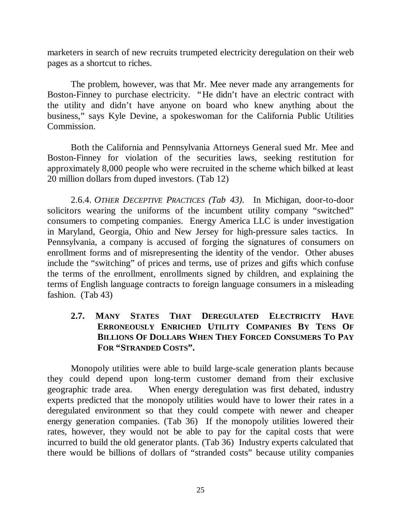marketers in search of new recruits trumpeted electricity deregulation on their web pages as a shortcut to riches.

The problem, however, was that Mr. Mee never made any arrangements for Boston-Finney to purchase electricity. "He didn't have an electric contract with the utility and didn't have anyone on board who knew anything about the business," says Kyle Devine, a spokeswoman for the California Public Utilities Commission.

Both the California and Pennsylvania Attorneys General sued Mr. Mee and Boston-Finney for violation of the securities laws, seeking restitution for approximately 8,000 people who were recruited in the scheme which bilked at least 20 million dollars from duped investors. (Tab 12)

2.6.4. *OTHER DECEPTIVE PRACTICES (Tab 43).* In Michigan, door-to-door solicitors wearing the uniforms of the incumbent utility company "switched" consumers to competing companies. Energy America LLC is under investigation in Maryland, Georgia, Ohio and New Jersey for high-pressure sales tactics. In Pennsylvania, a company is accused of forging the signatures of consumers on enrollment forms and of misrepresenting the identity of the vendor. Other abuses include the "switching" of prices and terms, use of prizes and gifts which confuse the terms of the enrollment, enrollments signed by children, and explaining the terms of English language contracts to foreign language consumers in a misleading fashion. (Tab 43)

# **2.7. MANY STATES THAT DEREGULATED ELECTRICITY HAVE ERRONEOUSLY ENRICHED UTILITY COMPANIES BY TENS OF BILLIONS OF DOLLARS WHEN THEY FORCED CONSUMERS TO PAY FOR "STRANDED COSTS".**

Monopoly utilities were able to build large-scale generation plants because they could depend upon long-term customer demand from their exclusive geographic trade area. When energy deregulation was first debated, industry experts predicted that the monopoly utilities would have to lower their rates in a deregulated environment so that they could compete with newer and cheaper energy generation companies. (Tab 36) If the monopoly utilities lowered their rates, however, they would not be able to pay for the capital costs that were incurred to build the old generator plants. (Tab 36) Industry experts calculated that there would be billions of dollars of "stranded costs" because utility companies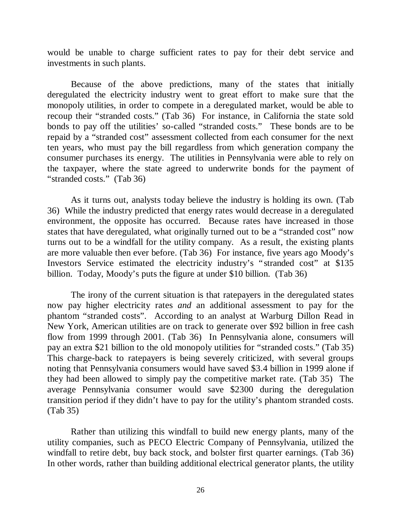would be unable to charge sufficient rates to pay for their debt service and investments in such plants.

Because of the above predictions, many of the states that initially deregulated the electricity industry went to great effort to make sure that the monopoly utilities, in order to compete in a deregulated market, would be able to recoup their "stranded costs." (Tab 36) For instance, in California the state sold bonds to pay off the utilities' so-called "stranded costs." These bonds are to be repaid by a "stranded cost" assessment collected from each consumer for the next ten years, who must pay the bill regardless from which generation company the consumer purchases its energy. The utilities in Pennsylvania were able to rely on the taxpayer, where the state agreed to underwrite bonds for the payment of "stranded costs." (Tab 36)

As it turns out, analysts today believe the industry is holding its own. (Tab 36) While the industry predicted that energy rates would decrease in a deregulated environment, the opposite has occurred. Because rates have increased in those states that have deregulated, what originally turned out to be a "stranded cost" now turns out to be a windfall for the utility company. As a result, the existing plants are more valuable then ever before. (Tab 36) For instance, five years ago Moody's Investors Service estimated the electricity industry's "stranded cost" at \$135 billion. Today, Moody's puts the figure at under \$10 billion. (Tab 36)

The irony of the current situation is that ratepayers in the deregulated states now pay higher electricity rates *and* an additional assessment to pay for the phantom "stranded costs". According to an analyst at Warburg Dillon Read in New York, American utilities are on track to generate over \$92 billion in free cash flow from 1999 through 2001. (Tab 36) In Pennsylvania alone, consumers will pay an extra \$21 billion to the old monopoly utilities for "stranded costs." (Tab 35) This charge-back to ratepayers is being severely criticized, with several groups noting that Pennsylvania consumers would have saved \$3.4 billion in 1999 alone if they had been allowed to simply pay the competitive market rate. (Tab 35) The average Pennsylvania consumer would save \$2300 during the deregulation transition period if they didn't have to pay for the utility's phantom stranded costs. (Tab 35)

Rather than utilizing this windfall to build new energy plants, many of the utility companies, such as PECO Electric Company of Pennsylvania, utilized the windfall to retire debt, buy back stock, and bolster first quarter earnings. (Tab 36) In other words, rather than building additional electrical generator plants, the utility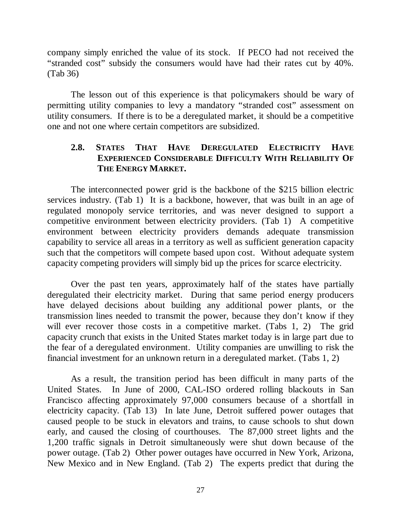company simply enriched the value of its stock. If PECO had not received the "stranded cost" subsidy the consumers would have had their rates cut by 40%. (Tab 36)

The lesson out of this experience is that policymakers should be wary of permitting utility companies to levy a mandatory "stranded cost" assessment on utility consumers. If there is to be a deregulated market, it should be a competitive one and not one where certain competitors are subsidized.

# **2.8. STATES THAT HAVE DEREGULATED ELECTRICITY HAVE EXPERIENCED CONSIDERABLE DIFFICULTY WITH RELIABILITY OF THE ENERGY MARKET.**

The interconnected power grid is the backbone of the \$215 billion electric services industry. (Tab 1) It is a backbone, however, that was built in an age of regulated monopoly service territories, and was never designed to support a competitive environment between electricity providers. (Tab 1) A competitive environment between electricity providers demands adequate transmission capability to service all areas in a territory as well as sufficient generation capacity such that the competitors will compete based upon cost. Without adequate system capacity competing providers will simply bid up the prices for scarce electricity.

Over the past ten years, approximately half of the states have partially deregulated their electricity market. During that same period energy producers have delayed decisions about building any additional power plants, or the transmission lines needed to transmit the power, because they don't know if they will ever recover those costs in a competitive market. (Tabs 1, 2) The grid capacity crunch that exists in the United States market today is in large part due to the fear of a deregulated environment. Utility companies are unwilling to risk the financial investment for an unknown return in a deregulated market. (Tabs 1, 2)

As a result, the transition period has been difficult in many parts of the United States. In June of 2000, CAL-ISO ordered rolling blackouts in San Francisco affecting approximately 97,000 consumers because of a shortfall in electricity capacity. (Tab 13) In late June, Detroit suffered power outages that caused people to be stuck in elevators and trains, to cause schools to shut down early, and caused the closing of courthouses. The 87,000 street lights and the 1,200 traffic signals in Detroit simultaneously were shut down because of the power outage. (Tab 2) Other power outages have occurred in New York, Arizona, New Mexico and in New England. (Tab 2) The experts predict that during the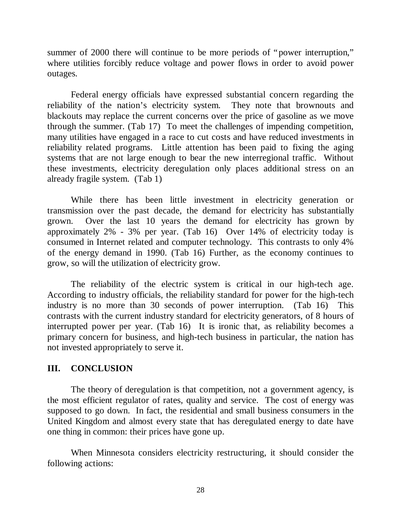summer of 2000 there will continue to be more periods of "power interruption," where utilities forcibly reduce voltage and power flows in order to avoid power outages.

Federal energy officials have expressed substantial concern regarding the reliability of the nation's electricity system. They note that brownouts and blackouts may replace the current concerns over the price of gasoline as we move through the summer. (Tab 17) To meet the challenges of impending competition, many utilities have engaged in a race to cut costs and have reduced investments in reliability related programs. Little attention has been paid to fixing the aging systems that are not large enough to bear the new interregional traffic. Without these investments, electricity deregulation only places additional stress on an already fragile system. (Tab 1)

While there has been little investment in electricity generation or transmission over the past decade, the demand for electricity has substantially grown. Over the last 10 years the demand for electricity has grown by approximately 2% - 3% per year. (Tab 16) Over 14% of electricity today is consumed in Internet related and computer technology. This contrasts to only 4% of the energy demand in 1990. (Tab 16) Further, as the economy continues to grow, so will the utilization of electricity grow.

The reliability of the electric system is critical in our high-tech age. According to industry officials, the reliability standard for power for the high-tech industry is no more than 30 seconds of power interruption. (Tab 16) This contrasts with the current industry standard for electricity generators, of 8 hours of interrupted power per year. (Tab 16) It is ironic that, as reliability becomes a primary concern for business, and high-tech business in particular, the nation has not invested appropriately to serve it.

### **III. CONCLUSION**

The theory of deregulation is that competition, not a government agency, is the most efficient regulator of rates, quality and service. The cost of energy was supposed to go down. In fact, the residential and small business consumers in the United Kingdom and almost every state that has deregulated energy to date have one thing in common: their prices have gone up.

When Minnesota considers electricity restructuring, it should consider the following actions: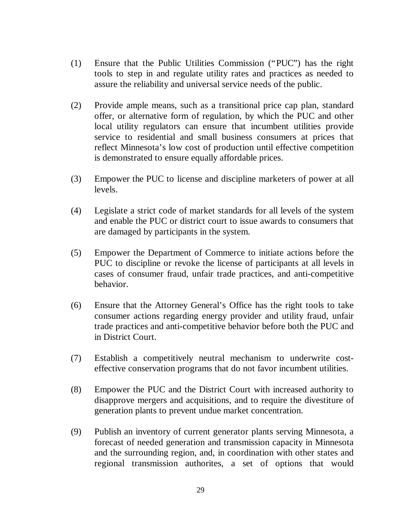- (1) Ensure that the Public Utilities Commission ("PUC") has the right tools to step in and regulate utility rates and practices as needed to assure the reliability and universal service needs of the public.
- (2) Provide ample means, such as a transitional price cap plan, standard offer, or alternative form of regulation, by which the PUC and other local utility regulators can ensure that incumbent utilities provide service to residential and small business consumers at prices that reflect Minnesota's low cost of production until effective competition is demonstrated to ensure equally affordable prices.
- (3) Empower the PUC to license and discipline marketers of power at all levels.
- (4) Legislate a strict code of market standards for all levels of the system and enable the PUC or district court to issue awards to consumers that are damaged by participants in the system.
- (5) Empower the Department of Commerce to initiate actions before the PUC to discipline or revoke the license of participants at all levels in cases of consumer fraud, unfair trade practices, and anti-competitive behavior.
- (6) Ensure that the Attorney General's Office has the right tools to take consumer actions regarding energy provider and utility fraud, unfair trade practices and anti-competitive behavior before both the PUC and in District Court.
- (7) Establish a competitively neutral mechanism to underwrite costeffective conservation programs that do not favor incumbent utilities.
- (8) Empower the PUC and the District Court with increased authority to disapprove mergers and acquisitions, and to require the divestiture of generation plants to prevent undue market concentration.
- (9) Publish an inventory of current generator plants serving Minnesota, a forecast of needed generation and transmission capacity in Minnesota and the surrounding region, and, in coordination with other states and regional transmission authorites, a set of options that would